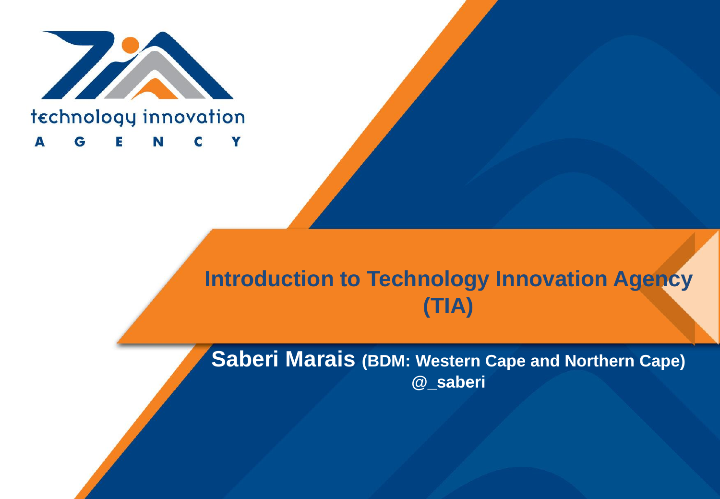

### **Introduction to Technology Innovation Agency**  $(TIA)$

Saberi Marais (BDM: Western Cape and Northern Cape) @\_saberi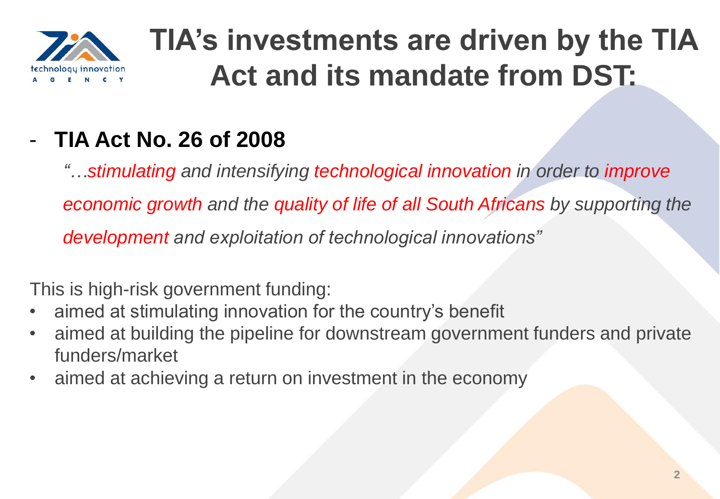

## **TIA's investments are driven by the TIA Act and its mandate from DST:**

### - **TIA Act No. 26 of 2008**

*"…stimulating and intensifying technological innovation in order to improve economic growth and the quality of life of all South Africans by supporting the development and exploitation of technological innovations"*

This is high-risk government funding:

- aimed at stimulating innovation for the country's benefit
- aimed at building the pipeline for downstream government funders and private funders/market
- aimed at achieving a return on investment in the economy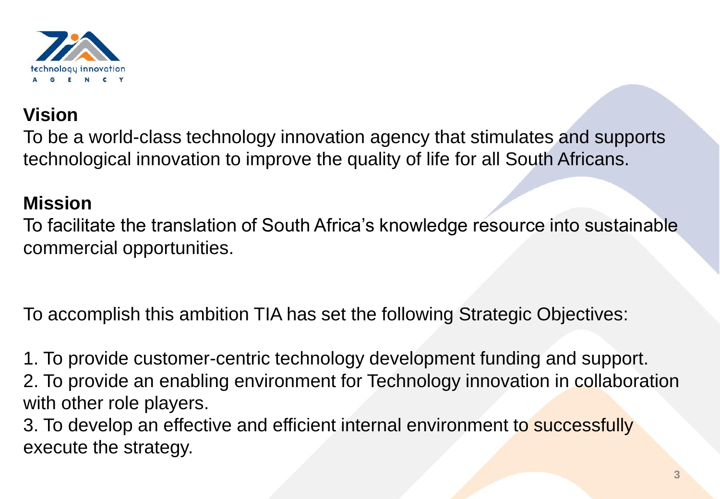

#### **Vision**

To be a world-class technology innovation agency that stimulates and supports technological innovation to improve the quality of life for all South Africans.

#### **Mission**

To facilitate the translation of South Africa's knowledge resource into sustainable commercial opportunities.

To accomplish this ambition TIA has set the following Strategic Objectives:

1. To provide customer-centric technology development funding and support. 2. To provide an enabling environment for Technology innovation in collaboration with other role players.

3. To develop an effective and efficient internal environment to successfully execute the strategy.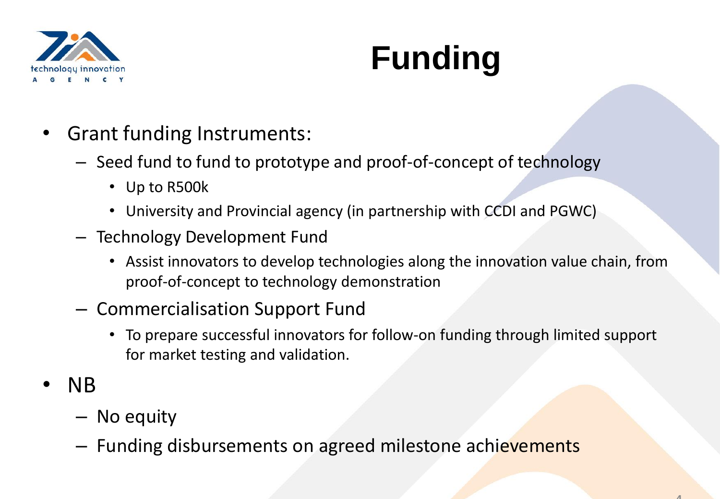

# **Funding**

- Grant funding Instruments:
	- Seed fund to fund to prototype and proof-of-concept of technology
		- Up to R500k
		- University and Provincial agency (in partnership with CCDI and PGWC)
	- Technology Development Fund
		- Assist innovators to develop technologies along the innovation value chain, from proof-of-concept to technology demonstration
	- Commercialisation Support Fund
		- To prepare successful innovators for follow-on funding through limited support for market testing and validation.
- NB
	- No equity
	- Funding disbursements on agreed milestone achievements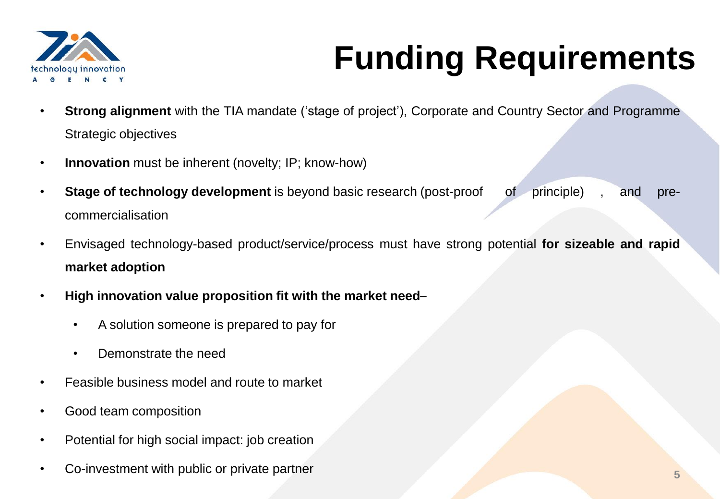

# **Funding Requirements**

- **Strong alignment** with the TIA mandate ('stage of project'), Corporate and Country Sector and Programme Strategic objectives
- **Innovation** must be inherent (novelty; IP; know-how)
- **Stage of technology development** is beyond basic research (post-proof of principle) , and precommercialisation
- Envisaged technology-based product/service/process must have strong potential **for sizeable and rapid market adoption**
- **High innovation value proposition fit with the market need**
	- A solution someone is prepared to pay for
	- Demonstrate the need
- Feasible business model and route to market
- Good team composition
- Potential for high social impact: job creation
- Co-investment with public or private partner